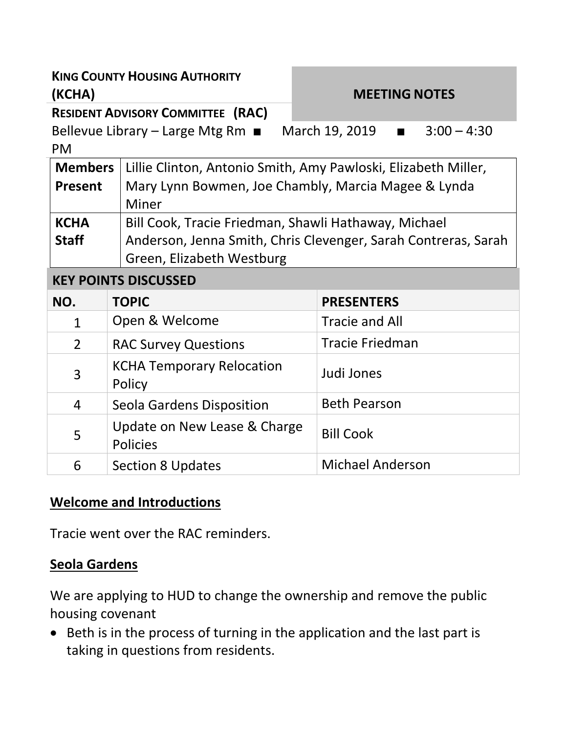| <b>KING COUNTY HOUSING AUTHORITY</b><br>(KCHA)<br><b>RESIDENT ADVISORY COMMITTEE (RAC)</b> |                                                                                                                                                     | <b>MEETING NOTES</b>                                                                                                  |
|--------------------------------------------------------------------------------------------|-----------------------------------------------------------------------------------------------------------------------------------------------------|-----------------------------------------------------------------------------------------------------------------------|
| March 19, 2019 $\blacksquare$<br>$3:00 - 4:30$<br>Bellevue Library – Large Mtg Rm<br>PM    |                                                                                                                                                     |                                                                                                                       |
| <b>Members</b><br><b>Present</b>                                                           | <b>Miner</b>                                                                                                                                        | Lillie Clinton, Antonio Smith, Amy Pawloski, Elizabeth Miller,<br>Mary Lynn Bowmen, Joe Chambly, Marcia Magee & Lynda |
| <b>KCHA</b><br><b>Staff</b>                                                                | Bill Cook, Tracie Friedman, Shawli Hathaway, Michael<br>Anderson, Jenna Smith, Chris Clevenger, Sarah Contreras, Sarah<br>Green, Elizabeth Westburg |                                                                                                                       |
| <b>KEY POINTS DISCUSSED</b>                                                                |                                                                                                                                                     |                                                                                                                       |
| NO.                                                                                        | <b>TOPIC</b>                                                                                                                                        | <b>PRESENTERS</b>                                                                                                     |
| $\mathbf{1}$                                                                               | Open & Welcome                                                                                                                                      | <b>Tracie and All</b>                                                                                                 |
| $\overline{2}$                                                                             | <b>RAC Survey Questions</b>                                                                                                                         | <b>Tracie Friedman</b>                                                                                                |
| 3                                                                                          | <b>KCHA Temporary Relocation</b><br>Policy                                                                                                          | Judi Jones                                                                                                            |
| 4                                                                                          | Seola Gardens Disposition                                                                                                                           | <b>Beth Pearson</b>                                                                                                   |
| 5                                                                                          | Update on New Lease & Charge                                                                                                                        | <b>Bill Cook</b>                                                                                                      |

### **Welcome and Introductions**

Policies

Tracie went over the RAC reminders.

#### **Seola Gardens**

We are applying to HUD to change the ownership and remove the public housing covenant

6 Section 8 Updates Michael Anderson

• Beth is in the process of turning in the application and the last part is taking in questions from residents.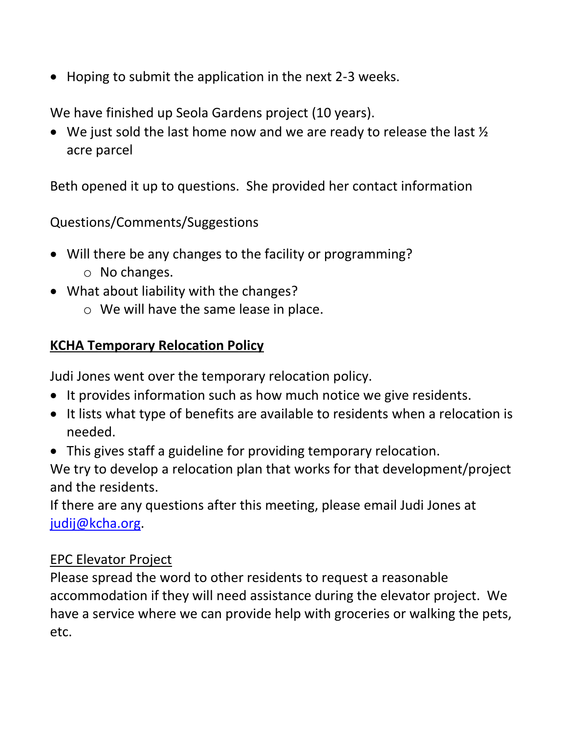• Hoping to submit the application in the next 2-3 weeks.

We have finished up Seola Gardens project (10 years).

 $\bullet$  We just sold the last home now and we are ready to release the last  $\frac{1}{2}$ acre parcel

Beth opened it up to questions. She provided her contact information

Questions/Comments/Suggestions

- Will there be any changes to the facility or programming?
	- o No changes.
- What about liability with the changes?
	- o We will have the same lease in place.

# **KCHA Temporary Relocation Policy**

Judi Jones went over the temporary relocation policy.

- It provides information such as how much notice we give residents.
- It lists what type of benefits are available to residents when a relocation is needed.
- This gives staff a guideline for providing temporary relocation.

We try to develop a relocation plan that works for that development/project and the residents.

If there are any questions after this meeting, please email Judi Jones at [judij@kcha.org.](mailto:judij@kcha.org)

#### EPC Elevator Project

Please spread the word to other residents to request a reasonable accommodation if they will need assistance during the elevator project. We have a service where we can provide help with groceries or walking the pets, etc.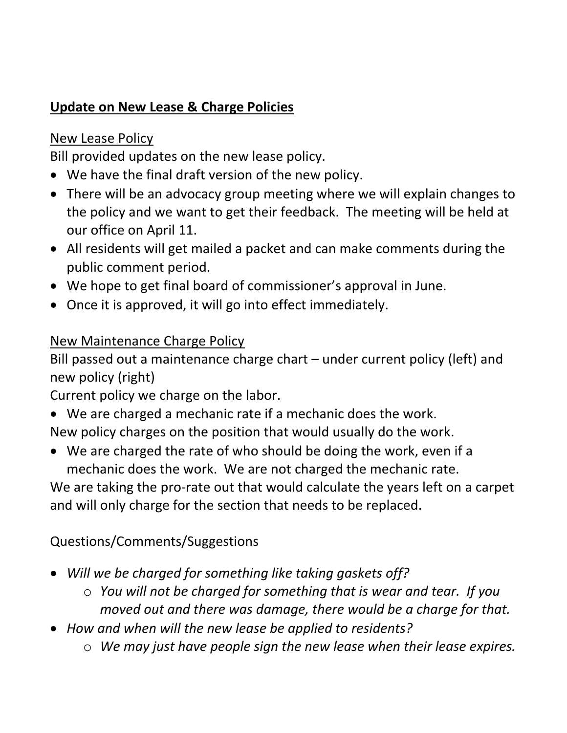# **Update on New Lease & Charge Policies**

#### New Lease Policy

Bill provided updates on the new lease policy.

- We have the final draft version of the new policy.
- There will be an advocacy group meeting where we will explain changes to the policy and we want to get their feedback. The meeting will be held at our office on April 11.
- All residents will get mailed a packet and can make comments during the public comment period.
- We hope to get final board of commissioner's approval in June.
- Once it is approved, it will go into effect immediately.

# New Maintenance Charge Policy

Bill passed out a maintenance charge chart – under current policy (left) and new policy (right)

Current policy we charge on the labor.

- We are charged a mechanic rate if a mechanic does the work. New policy charges on the position that would usually do the work.
- We are charged the rate of who should be doing the work, even if a mechanic does the work. We are not charged the mechanic rate.

We are taking the pro-rate out that would calculate the years left on a carpet and will only charge for the section that needs to be replaced.

# Questions/Comments/Suggestions

- *Will we be charged for something like taking gaskets off?*
	- o *You will not be charged for something that is wear and tear. If you moved out and there was damage, there would be a charge for that.*
- *How and when will the new lease be applied to residents?*
	- o *We may just have people sign the new lease when their lease expires.*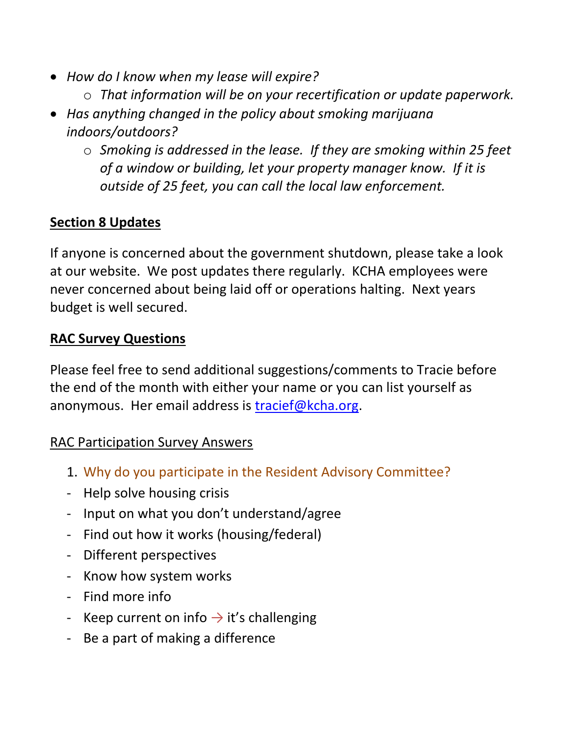- *How do I know when my lease will expire?*
	- o *That information will be on your recertification or update paperwork.*
- *Has anything changed in the policy about smoking marijuana indoors/outdoors?*
	- o *Smoking is addressed in the lease. If they are smoking within 25 feet of a window or building, let your property manager know. If it is outside of 25 feet, you can call the local law enforcement.*

# **Section 8 Updates**

If anyone is concerned about the government shutdown, please take a look at our website. We post updates there regularly. KCHA employees were never concerned about being laid off or operations halting. Next years budget is well secured.

#### **RAC Survey Questions**

Please feel free to send additional suggestions/comments to Tracie before the end of the month with either your name or you can list yourself as anonymous. Her email address is [tracief@kcha.org.](mailto:tracief@kcha.org)

#### RAC Participation Survey Answers

- 1. Why do you participate in the Resident Advisory Committee?
- Help solve housing crisis
- Input on what you don't understand/agree
- Find out how it works (housing/federal)
- Different perspectives
- Know how system works
- Find more info
- Keep current on info  $\rightarrow$  it's challenging
- Be a part of making a difference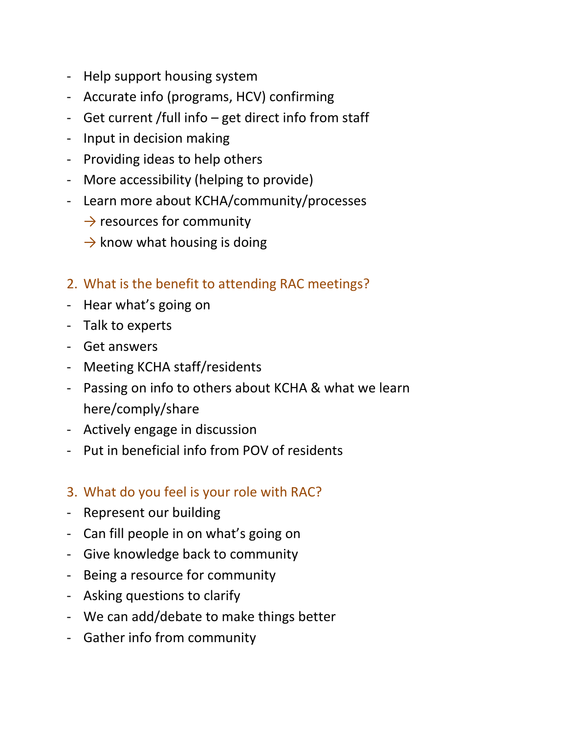- Help support housing system
- Accurate info (programs, HCV) confirming
- Get current /full info get direct info from staff
- Input in decision making
- Providing ideas to help others
- More accessibility (helping to provide)
- Learn more about KCHA/community/processes
	- $\rightarrow$  resources for community
	- $\rightarrow$  know what housing is doing
- 2. What is the benefit to attending RAC meetings?
- Hear what's going on
- Talk to experts
- Get answers
- Meeting KCHA staff/residents
- Passing on info to others about KCHA & what we learn here/comply/share
- Actively engage in discussion
- Put in beneficial info from POV of residents
- 3. What do you feel is your role with RAC?
- Represent our building
- Can fill people in on what's going on
- Give knowledge back to community
- Being a resource for community
- Asking questions to clarify
- We can add/debate to make things better
- Gather info from community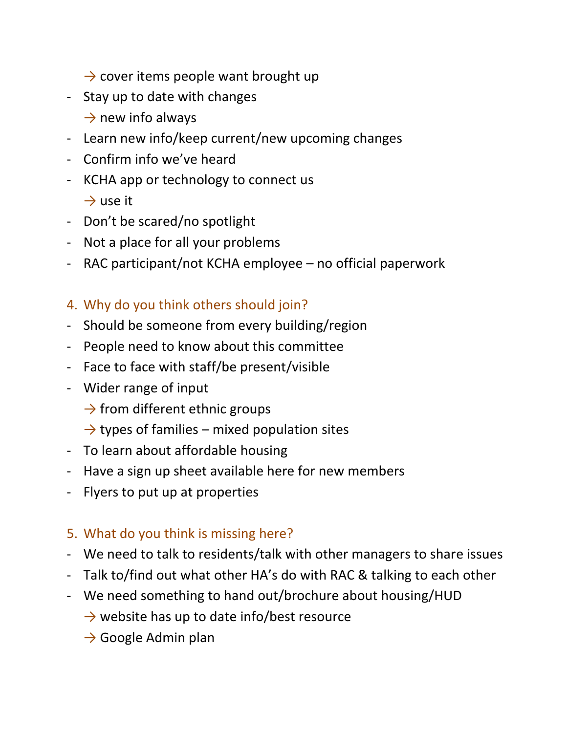- $\rightarrow$  cover items people want brought up
- Stay up to date with changes
	- $\rightarrow$  new info always
- Learn new info/keep current/new upcoming changes
- Confirm info we've heard
- KCHA app or technology to connect us  $\rightarrow$  use it
- Don't be scared/no spotlight
- Not a place for all your problems
- RAC participant/not KCHA employee no official paperwork
- 4. Why do you think others should join?
- Should be someone from every building/region
- People need to know about this committee
- Face to face with staff/be present/visible
- Wider range of input
	- $\rightarrow$  from different ethnic groups
	- $\rightarrow$  types of families mixed population sites
- To learn about affordable housing
- Have a sign up sheet available here for new members
- Flyers to put up at properties

# 5. What do you think is missing here?

- We need to talk to residents/talk with other managers to share issues
- Talk to/find out what other HA's do with RAC & talking to each other
- We need something to hand out/brochure about housing/HUD
	- $\rightarrow$  website has up to date info/best resource
	- $\rightarrow$  Google Admin plan